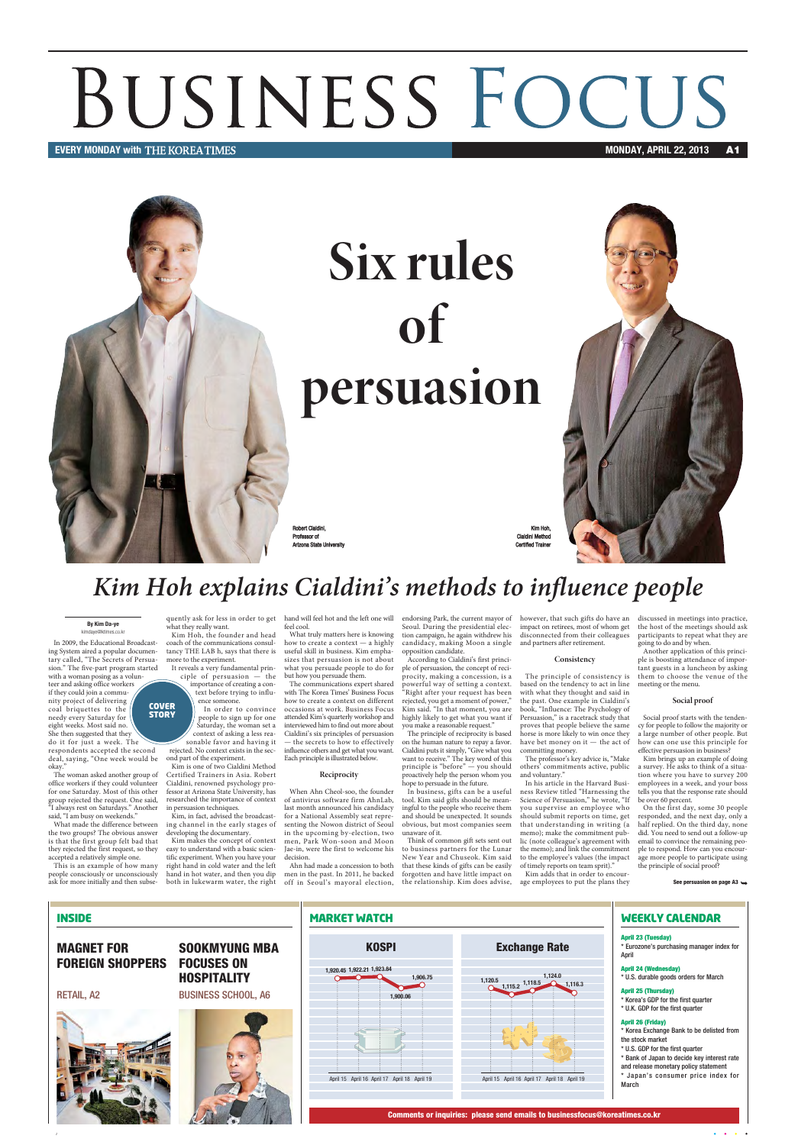Comments or inquiries: please send emails to businessfocus@koreatimes.co.kr





\* Korea Exchange Bank to be delisted from

- \* Bank of Japan to decide key interest rate
- \* Japan's consumer price index for

The woman asked another group of office workers if they could volunteer for one Saturday. Most of this other group rejected the request. One said, "I always rest on Saturdays." Another said, "I am busy on weekends."

### Kim Hoh explains Cialdini's methods to influence people

In 2009, the Educational Broadcasting System aired a popular documentary called, "The Secrets of Persuasion." The five-part program started

with a woman posing as a volunteer and asking office workers if they could join a community project of delivering coal briquettes to the needy every Saturday for eight weeks. Most said no. She then suggested that they do it for just a week. The

respondents accepted the second deal, saying, "One week would be okay."

What made the difference between the two groups? The obvious answer is that the first group felt bad that they rejected the first request, so they accepted a relatively simple one.

This is an example of how many people consciously or unconsciously ask for more initially and then subsewhat they really want.

Kim Hoh, the founder and head coach of the communications consultancy THE LAB h, says that there is useful skill in business. Kim emphamore to the experiment.

In order to convince people to sign up for one Saturday, the woman set a context of asking a less reasonable favor and having it

rejected. No context exists in the second part of the experiment. Kim is one of two Cialdini Method

quently ask for less in order to get hand will feel hot and the left one will feel cool.

Certified Trainers in Asia. Robert Cialdini, renowned psychology professor at Arizona State University, has researched the importance of context in persuasion techniques.

Kim, in fact, advised the broadcasting channel in the early stages of developing the documentary.

Kim makes the concept of context easy to understand with a basic scientific experiment. When you have your right hand in cold water and the left hand in hot water, and then you dip both in lukewarm water, the right

What truly matters here is knowing how to create a context — a highly sizes that persuasion is not about what you persuade people to do for

but how you persuade them.

The communications expert shared with The Korea Times' Business Focus how to create a context on different occasions at work. Business Focus attended Kim's quarterly workshop and interviewed him to find out more about Cialdini's six principles of persuasion — the secrets to how to effectively influence others and get what you want. Each principle is illustrated below.

#### Reciprocity

Robert Cialdini, Professor of Arizona State University

Kim Hoh, Cialdini Method **Certified Trainer** 



## BUSINESS FOCUS MONDAY, APRIL 22, 2013

#### EVERY MONDAY with THE KOREATIMES **And an analyzing the control of the control of the control of the control of the control of the control of the control of the control of the control of the control of the control of the co**



When Ahn Cheol-soo, the founder of antivirus software firm AhnLab, last month announced his candidacy for a National Assembly seat representing the Nowon district of Seoul in the upcoming by-election, two men, Park Won-soon and Moon Jae-in, were the first to welcome his decision.

candidacy, making Moon a single and partners after retirement. opposition candidate.

According to Cialdini's first principle of persuasion, the concept of reci-

procity, making a concession, is a powerful way of setting a context. "Right after your request has been rejected, you get a moment of power," Kim said. "In that moment, you are highly likely to get what you want if you make a reasonable request."

Ahn had made a concession to both men in the past. In 2011, he backed off in Seoul's mayoral election, the relationship. Kim does advise,

The principle of reciprocity is based on the human nature to repay a favor. Cialdini puts it simply, "Give what you want to receive." The key word of this principle is "before" — you should proactively help the person whom you hope to persuade in the future.

endorsing Park, the current mayor of however, that such gifts do have an Seoul. During the presidential elec-impact on retirees, most of whom get tion campaign, he again withdrew his disconnected from their colleagues

#### **Consistency**

It reveals a very fundamental principle of persuasion — the importance of creating a context before trying to influence someone. COVER

**STORY** 

In business, gifts can be a useful tool. Kim said gifts should be meaningful to the people who receive them and should be unexpected. It sounds obvious, but most companies seem unaware of it.

Think of common gift sets sent out to business partners for the Lunar New Year and Chuseok. Kim said that these kinds of gifts can be easily forgotten and have little impact on

The principle of consistency is based on the tendency to act in line with what they thought and said in the past. One example in Cialdini's book, "Influence: The Psychology of Persuasion," is a racetrack study that proves that people believe the same horse is more likely to win once they have bet money on it — the act of committing money.

The professor's key advice is, "Make others' commitments active, public and voluntary."

In his article in the Harvard Business Review titled "Harnessing the Science of Persuasion," he wrote, "If you supervise an employee who should submit reports on time, get that understanding in writing (a memo); make the commitment public (note colleague's agreement with the memo); and link the commitment to the employee's values (the impact of timely reports on team sprit)."

Kim adds that in order to encourage employees to put the plans they

discussed in meetings into practice, the host of the meetings should ask participants to repeat what they are going to do and by when.

Another application of this principle is boosting attendance of important guests in a luncheon by asking them to choose the venue of the meeting or the menu.

#### Social proof

Social proof starts with the tendency for people to follow the majority or a large number of other people. But how can one use this principle for effective persuasion in business?

Kim brings up an example of doing a survey. He asks to think of a situation where you have to survey 200 employees in a week, and your boss tells you that the response rate should be over 60 percent.

On the first day, some 30 people responded, and the next day, only a half replied. On the third day, none did. You need to send out a follow-up email to convince the remaining people to respond. How can you encourage more people to participate using the principle of social proof?

See persuasion on page A3  $\rightarrow$ 

#### By Kim Da-ye kimdaye@ktimes.co.kr

1

# Six rules of persuasion